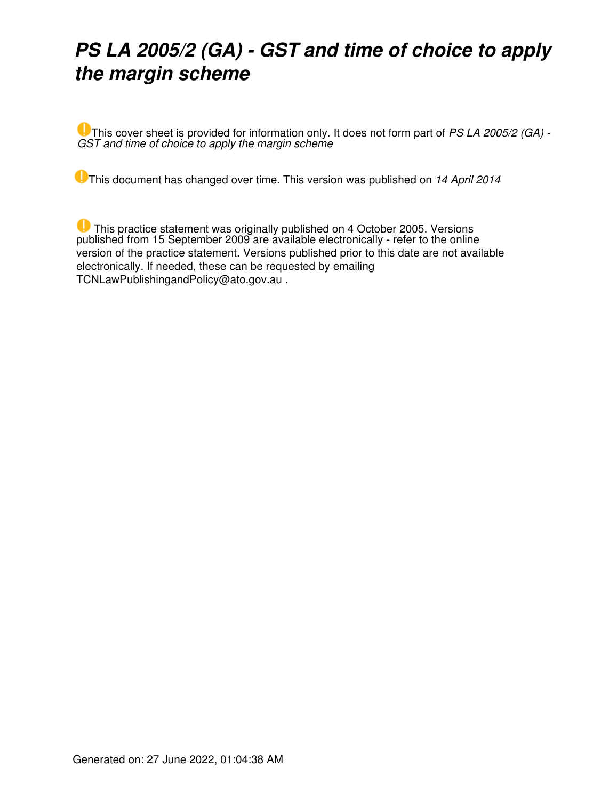## *PS LA 2005/2 (GA) - GST and time of choice to apply the margin scheme*

This cover sheet is provided for information only. It does not form part of *PS LA 2005/2 (GA) - GST and time of choice to apply the margin scheme*

**This document has changed over time. This version was published on 14 April 2014** 

 This practice statement was originally published on 4 October 2005. Versions published from 15 September 2009 are available electronically - refer to the online version of the practice statement. Versions published prior to this date are not available electronically. If needed, these can be requested by emailing TCNLawPublishingandPolicy@ato.gov.au .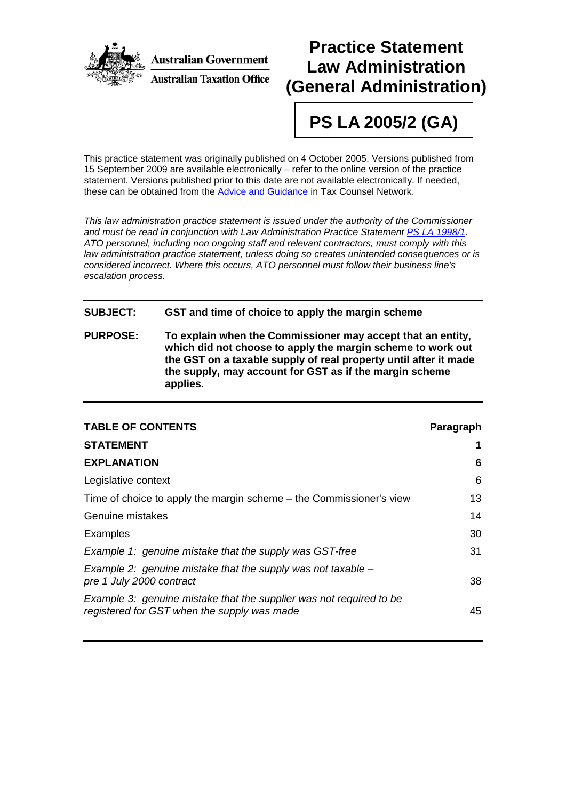

### **Practice Statement Law Administration (General Administration)**

# **PS LA 2005/2 (GA)**

This practice statement was originally published on 4 October 2005. Versions published from 15 September 2009 are available electronically – refer to the online version of the practice statement. Versions published prior to this date are not available electronically. If needed, these can be obtained from the [Advice and Guidance](mailto:LPSMaintenanceandSupport@ato.gov.au) in Tax Counsel Network.

*This law administration practice statement is issued under the authority of the Commissioner and must be read in conjunction with Law Administration Practice Statement [PS LA 1998/1.](http://law.ato.gov.au/view.htm?DocID=PSR/PS19981/NAT/ATO/00001) ATO personnel, including non ongoing staff and relevant contractors, must comply with this law administration practice statement, unless doing so creates unintended consequences or is considered incorrect. Where this occurs, ATO personnel must follow their business line's escalation process.*

#### **SUBJECT: GST and time of choice to apply the margin scheme**

**PURPOSE: To explain when the Commissioner may accept that an entity, which did not choose to apply the margin scheme to work out the GST on a taxable supply of real property until after it made the supply, may account for GST as if the margin scheme applies.**

| <b>TABLE OF CONTENTS</b>                                                                                           | Paragraph |
|--------------------------------------------------------------------------------------------------------------------|-----------|
| <b>STATEMENT</b>                                                                                                   |           |
| <b>EXPLANATION</b>                                                                                                 | 6         |
| Legislative context                                                                                                | 6         |
| Time of choice to apply the margin scheme – the Commissioner's view                                                | 13        |
| Genuine mistakes                                                                                                   | 14        |
| Examples                                                                                                           | 30        |
| Example 1: genuine mistake that the supply was GST-free                                                            | 31        |
| Example 2: genuine mistake that the supply was not taxable $-$<br>pre 1 July 2000 contract                         | 38        |
| Example 3: genuine mistake that the supplier was not required to be<br>registered for GST when the supply was made | 45        |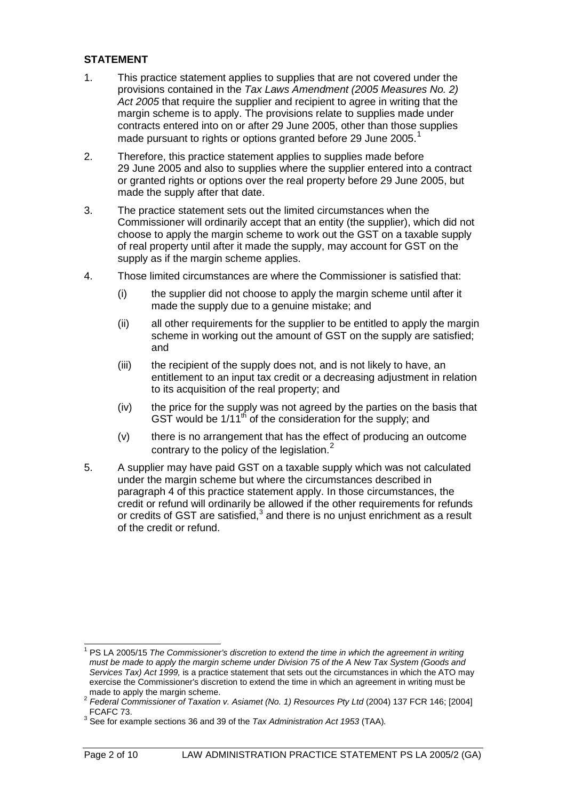#### **STATEMENT**

- 1. This practice statement applies to supplies that are not covered under the provisions contained in the *Tax Laws Amendment (2005 Measures No. 2) Act 2005* that require the supplier and recipient to agree in writing that the margin scheme is to apply. The provisions relate to supplies made under contracts entered into on or after 29 June 2005, other than those supplies made pursuant to rights or options granted before 29 June 2005.<sup>[1](#page-2-0)</sup>
- 2. Therefore, this practice statement applies to supplies made before 29 June 2005 and also to supplies where the supplier entered into a contract or granted rights or options over the real property before 29 June 2005, but made the supply after that date.
- 3. The practice statement sets out the limited circumstances when the Commissioner will ordinarily accept that an entity (the supplier), which did not choose to apply the margin scheme to work out the GST on a taxable supply of real property until after it made the supply, may account for GST on the supply as if the margin scheme applies.
- 4. Those limited circumstances are where the Commissioner is satisfied that:
	- (i) the supplier did not choose to apply the margin scheme until after it made the supply due to a genuine mistake; and
	- (ii) all other requirements for the supplier to be entitled to apply the margin scheme in working out the amount of GST on the supply are satisfied; and
	- (iii) the recipient of the supply does not, and is not likely to have, an entitlement to an input tax credit or a decreasing adjustment in relation to its acquisition of the real property; and
	- (iv) the price for the supply was not agreed by the parties on the basis that GST would be  $1/11^{th}$  of the consideration for the supply; and
	- (v) there is no arrangement that has the effect of producing an outcome contrary to the policy of the legislation.<sup>[2](#page-2-1)</sup>
- 5. A supplier may have paid GST on a taxable supply which was not calculated under the margin scheme but where the circumstances described in paragraph 4 of this practice statement apply. In those circumstances, the credit or refund will ordinarily be allowed if the other requirements for refunds or credits of GST are satisfied, $3$  and there is no unjust enrichment as a result of the credit or refund.

<span id="page-2-0"></span><sup>&</sup>lt;sup>1</sup> PS LA 2005/15 The Commissioner's discretion to extend the time in which the agreement in writing *must be made to apply the margin scheme under Division 75 of the A New Tax System (Goods and Services Tax) Act 1999,* is a practice statement that sets out the circumstances in which the ATO may exercise the Commissioner's discretion to extend the time in which an agreement in writing must be made to apply the margin scheme.  $\overline{\phantom{a}}$ 

<span id="page-2-1"></span><sup>2</sup> *Federal Commissioner of Taxation v. Asiamet (No. 1) Resources Pty Ltd* (2004) 137 FCR 146; [2004] FCAFC 73.

<span id="page-2-2"></span><sup>3</sup> See for example sections 36 and 39 of the *Tax Administration Act 1953* (TAA)*.*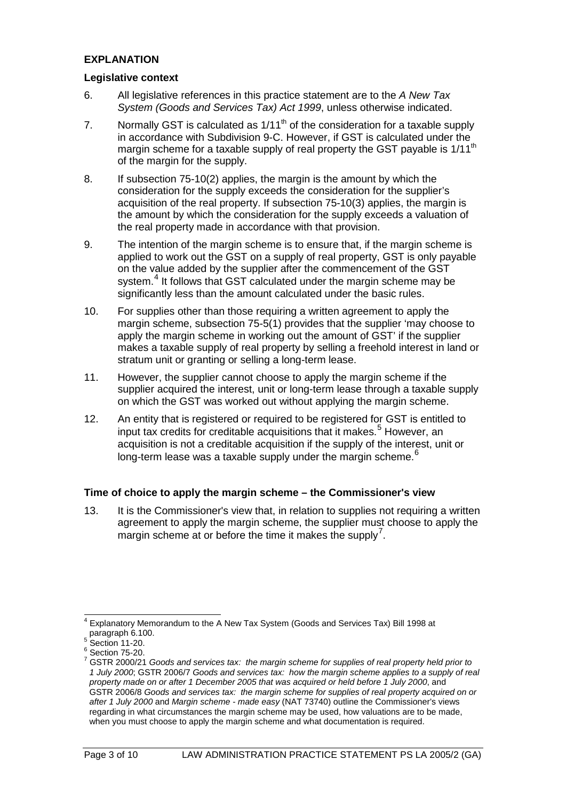#### **EXPLANATION**

#### **Legislative context**

- 6. All legislative references in this practice statement are to the *A New Tax System (Goods and Services Tax) Act 1999*, unless otherwise indicated.
- 7. Normally GST is calculated as  $1/11^{th}$  of the consideration for a taxable supply in accordance with Subdivision 9-C. However, if GST is calculated under the margin scheme for a taxable supply of real property the GST payable is 1/11<sup>th</sup> of the margin for the supply.
- 8. If subsection 75-10(2) applies, the margin is the amount by which the consideration for the supply exceeds the consideration for the supplier's acquisition of the real property. If subsection 75-10(3) applies, the margin is the amount by which the consideration for the supply exceeds a valuation of the real property made in accordance with that provision.
- 9. The intention of the margin scheme is to ensure that, if the margin scheme is applied to work out the GST on a supply of real property, GST is only payable on the value added by the supplier after the commencement of the GST system.<sup>[4](#page-3-0)</sup> It follows that GST calculated under the margin scheme may be significantly less than the amount calculated under the basic rules.
- 10. For supplies other than those requiring a written agreement to apply the margin scheme, subsection 75-5(1) provides that the supplier 'may choose to apply the margin scheme in working out the amount of GST' if the supplier makes a taxable supply of real property by selling a freehold interest in land or stratum unit or granting or selling a long-term lease.
- 11. However, the supplier cannot choose to apply the margin scheme if the supplier acquired the interest, unit or long-term lease through a taxable supply on which the GST was worked out without applying the margin scheme.
- 12. An entity that is registered or required to be registered for GST is entitled to input tax credits for creditable acquisitions that it makes.<sup>[5](#page-3-1)</sup> However, an acquisition is not a creditable acquisition if the supply of the interest, unit or long-term lease was a taxable supply under the margin scheme.<sup>[6](#page-3-2)</sup>

#### **Time of choice to apply the margin scheme – the Commissioner's view**

13. It is the Commissioner's view that, in relation to supplies not requiring a written agreement to apply the margin scheme, the supplier must choose to apply the margin scheme at or before the time it makes the supply<sup>[7](#page-3-3)</sup>.

<span id="page-3-0"></span> $4$  Explanatory Memorandum to the A New Tax System (Goods and Services Tax) Bill 1998 at paragraph 6.100.<br>
<sup>5</sup> Section 11-20.<br>
<sup>6</sup> Section 11-20.<br>
<sup>6</sup> Section 75-20.<br>
<sup>7</sup> GSTR 2000/21 *Goods and services tax: the margin scheme for supplies of real property held prior to*  $\overline{\phantom{a}}$ 

<span id="page-3-3"></span><span id="page-3-2"></span><span id="page-3-1"></span>

*<sup>1</sup> July 2000*; GSTR 2006/7 *Goods and services tax: how the margin scheme applies to a supply of real property made on or after 1 December 2005 that was acquired or held before 1 July 2000*, and GSTR 2006/8 *Goods and services tax: the margin scheme for supplies of real property acquired on or after 1 July 2000* and *Margin scheme - made easy* (NAT 73740) outline the Commissioner's views regarding in what circumstances the margin scheme may be used, how valuations are to be made, when you must choose to apply the margin scheme and what documentation is required.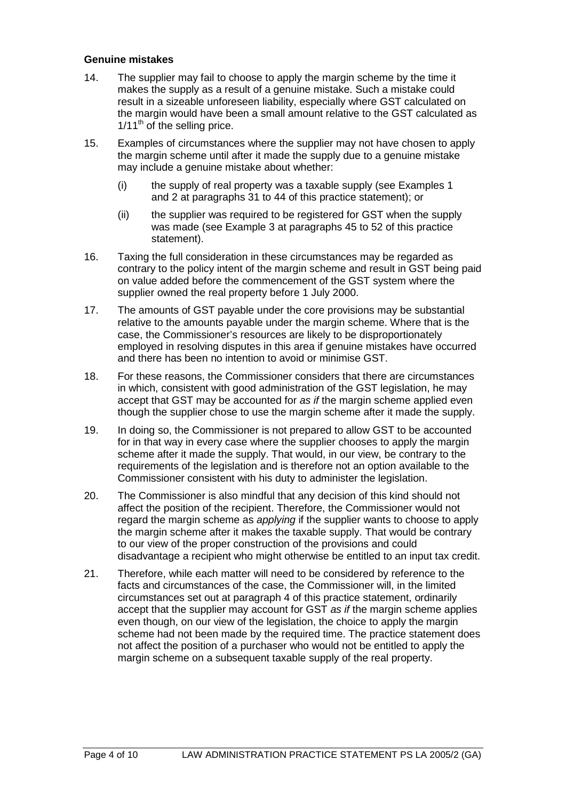#### **Genuine mistakes**

- 14. The supplier may fail to choose to apply the margin scheme by the time it makes the supply as a result of a genuine mistake. Such a mistake could result in a sizeable unforeseen liability, especially where GST calculated on the margin would have been a small amount relative to the GST calculated as  $1/11<sup>th</sup>$  of the selling price.
- 15. Examples of circumstances where the supplier may not have chosen to apply the margin scheme until after it made the supply due to a genuine mistake may include a genuine mistake about whether:
	- (i) the supply of real property was a taxable supply (see Examples 1 and 2 at paragraphs 31 to 44 of this practice statement); or
	- (ii) the supplier was required to be registered for GST when the supply was made (see Example 3 at paragraphs 45 to 52 of this practice statement).
- 16. Taxing the full consideration in these circumstances may be regarded as contrary to the policy intent of the margin scheme and result in GST being paid on value added before the commencement of the GST system where the supplier owned the real property before 1 July 2000.
- 17. The amounts of GST payable under the core provisions may be substantial relative to the amounts payable under the margin scheme. Where that is the case, the Commissioner's resources are likely to be disproportionately employed in resolving disputes in this area if genuine mistakes have occurred and there has been no intention to avoid or minimise GST.
- 18. For these reasons, the Commissioner considers that there are circumstances in which, consistent with good administration of the GST legislation, he may accept that GST may be accounted for *as if* the margin scheme applied even though the supplier chose to use the margin scheme after it made the supply.
- 19. In doing so, the Commissioner is not prepared to allow GST to be accounted for in that way in every case where the supplier chooses to apply the margin scheme after it made the supply. That would, in our view, be contrary to the requirements of the legislation and is therefore not an option available to the Commissioner consistent with his duty to administer the legislation.
- 20. The Commissioner is also mindful that any decision of this kind should not affect the position of the recipient. Therefore, the Commissioner would not regard the margin scheme as *applying* if the supplier wants to choose to apply the margin scheme after it makes the taxable supply. That would be contrary to our view of the proper construction of the provisions and could disadvantage a recipient who might otherwise be entitled to an input tax credit.
- 21. Therefore, while each matter will need to be considered by reference to the facts and circumstances of the case, the Commissioner will, in the limited circumstances set out at paragraph 4 of this practice statement, ordinarily accept that the supplier may account for GST *as if* the margin scheme applies even though, on our view of the legislation, the choice to apply the margin scheme had not been made by the required time. The practice statement does not affect the position of a purchaser who would not be entitled to apply the margin scheme on a subsequent taxable supply of the real property.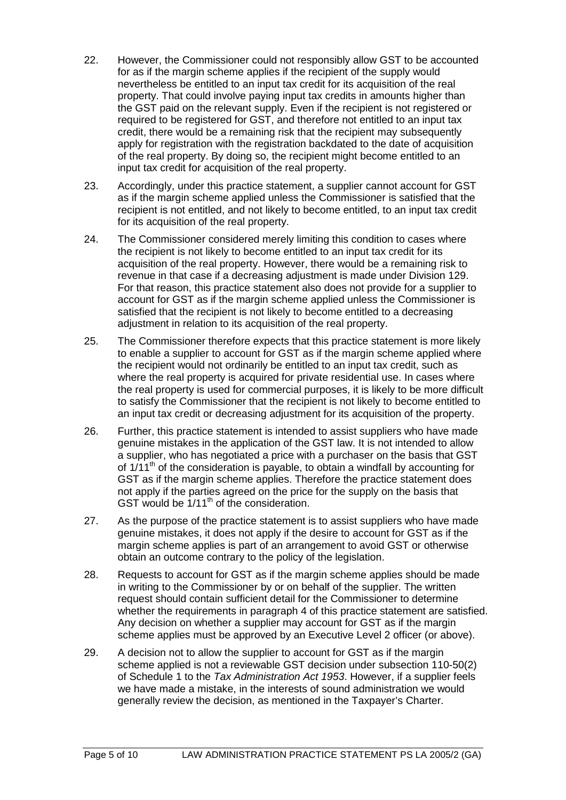- 22. However, the Commissioner could not responsibly allow GST to be accounted for as if the margin scheme applies if the recipient of the supply would nevertheless be entitled to an input tax credit for its acquisition of the real property. That could involve paying input tax credits in amounts higher than the GST paid on the relevant supply. Even if the recipient is not registered or required to be registered for GST, and therefore not entitled to an input tax credit, there would be a remaining risk that the recipient may subsequently apply for registration with the registration backdated to the date of acquisition of the real property. By doing so, the recipient might become entitled to an input tax credit for acquisition of the real property.
- 23. Accordingly, under this practice statement, a supplier cannot account for GST as if the margin scheme applied unless the Commissioner is satisfied that the recipient is not entitled, and not likely to become entitled, to an input tax credit for its acquisition of the real property.
- 24. The Commissioner considered merely limiting this condition to cases where the recipient is not likely to become entitled to an input tax credit for its acquisition of the real property. However, there would be a remaining risk to revenue in that case if a decreasing adjustment is made under Division 129. For that reason, this practice statement also does not provide for a supplier to account for GST as if the margin scheme applied unless the Commissioner is satisfied that the recipient is not likely to become entitled to a decreasing adjustment in relation to its acquisition of the real property.
- 25. The Commissioner therefore expects that this practice statement is more likely to enable a supplier to account for GST as if the margin scheme applied where the recipient would not ordinarily be entitled to an input tax credit, such as where the real property is acquired for private residential use. In cases where the real property is used for commercial purposes, it is likely to be more difficult to satisfy the Commissioner that the recipient is not likely to become entitled to an input tax credit or decreasing adjustment for its acquisition of the property.
- 26. Further, this practice statement is intended to assist suppliers who have made genuine mistakes in the application of the GST law. It is not intended to allow a supplier, who has negotiated a price with a purchaser on the basis that GST of  $1/11<sup>th</sup>$  of the consideration is payable, to obtain a windfall by accounting for GST as if the margin scheme applies. Therefore the practice statement does not apply if the parties agreed on the price for the supply on the basis that GST would be  $1/11^{th}$  of the consideration.
- 27. As the purpose of the practice statement is to assist suppliers who have made genuine mistakes, it does not apply if the desire to account for GST as if the margin scheme applies is part of an arrangement to avoid GST or otherwise obtain an outcome contrary to the policy of the legislation.
- 28. Requests to account for GST as if the margin scheme applies should be made in writing to the Commissioner by or on behalf of the supplier. The written request should contain sufficient detail for the Commissioner to determine whether the requirements in paragraph 4 of this practice statement are satisfied. Any decision on whether a supplier may account for GST as if the margin scheme applies must be approved by an Executive Level 2 officer (or above).
- 29. A decision not to allow the supplier to account for GST as if the margin scheme applied is not a reviewable GST decision under subsection 110-50(2) of Schedule 1 to the *Tax Administration Act 1953*. However, if a supplier feels we have made a mistake, in the interests of sound administration we would generally review the decision, as mentioned in the Taxpayer's Charter.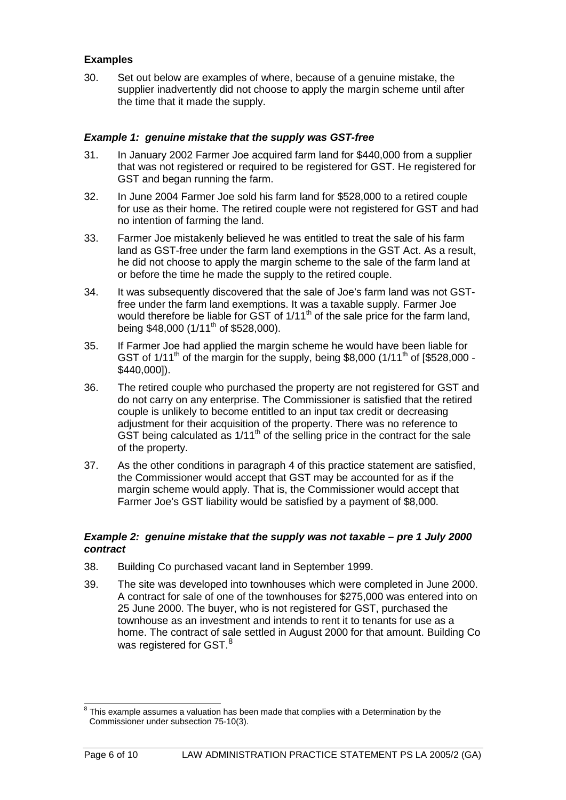#### **Examples**

30. Set out below are examples of where, because of a genuine mistake, the supplier inadvertently did not choose to apply the margin scheme until after the time that it made the supply.

#### *Example 1: genuine mistake that the supply was GST-free*

- 31. In January 2002 Farmer Joe acquired farm land for \$440,000 from a supplier that was not registered or required to be registered for GST. He registered for GST and began running the farm.
- 32. In June 2004 Farmer Joe sold his farm land for \$528,000 to a retired couple for use as their home. The retired couple were not registered for GST and had no intention of farming the land.
- 33. Farmer Joe mistakenly believed he was entitled to treat the sale of his farm land as GST-free under the farm land exemptions in the GST Act. As a result, he did not choose to apply the margin scheme to the sale of the farm land at or before the time he made the supply to the retired couple.
- 34. It was subsequently discovered that the sale of Joe's farm land was not GSTfree under the farm land exemptions. It was a taxable supply. Farmer Joe would therefore be liable for GST of  $1/11<sup>th</sup>$  of the sale price for the farm land. being \$48,000 (1/11<sup>th</sup> of \$528,000).
- 35. If Farmer Joe had applied the margin scheme he would have been liable for GST of  $1/11^{\text{th}}$  of the margin for the supply, being \$8,000 ( $1/11^{\text{th}}$  of [\$528,000 -\$440,000]).
- 36. The retired couple who purchased the property are not registered for GST and do not carry on any enterprise. The Commissioner is satisfied that the retired couple is unlikely to become entitled to an input tax credit or decreasing adjustment for their acquisition of the property. There was no reference to GST being calculated as  $1/11<sup>th</sup>$  of the selling price in the contract for the sale of the property.
- 37. As the other conditions in paragraph 4 of this practice statement are satisfied, the Commissioner would accept that GST may be accounted for as if the margin scheme would apply. That is, the Commissioner would accept that Farmer Joe's GST liability would be satisfied by a payment of \$8,000.

#### *Example 2: genuine mistake that the supply was not taxable – pre 1 July 2000 contract*

- 38. Building Co purchased vacant land in September 1999.
- 39. The site was developed into townhouses which were completed in June 2000. A contract for sale of one of the townhouses for \$275,000 was entered into on 25 June 2000. The buyer, who is not registered for GST, purchased the townhouse as an investment and intends to rent it to tenants for use as a home. The contract of sale settled in August 2000 for that amount. Building Co was registered for GST.<sup>[8](#page-6-0)</sup>

<span id="page-6-0"></span> $8$  This example assumes a valuation has been made that complies with a Determination by the Commissioner under subsection 75-10(3).  $\overline{a}$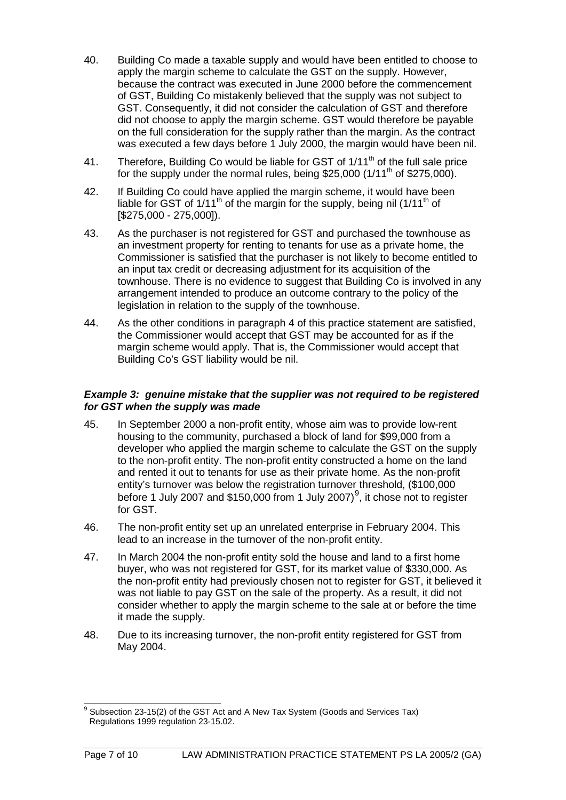- 40. Building Co made a taxable supply and would have been entitled to choose to apply the margin scheme to calculate the GST on the supply. However, because the contract was executed in June 2000 before the commencement of GST, Building Co mistakenly believed that the supply was not subject to GST. Consequently, it did not consider the calculation of GST and therefore did not choose to apply the margin scheme. GST would therefore be payable on the full consideration for the supply rather than the margin. As the contract was executed a few days before 1 July 2000, the margin would have been nil.
- 41. Therefore, Building Co would be liable for GST of 1/11<sup>th</sup> of the full sale price for the supply under the normal rules, being \$25,000  $(1/11<sup>th</sup>$  of \$275,000).
- 42. If Building Co could have applied the margin scheme, it would have been liable for GST of  $1/11<sup>th</sup>$  of the margin for the supply, being nil ( $1/11<sup>th</sup>$  of [\$275,000 - 275,000]).
- 43. As the purchaser is not registered for GST and purchased the townhouse as an investment property for renting to tenants for use as a private home, the Commissioner is satisfied that the purchaser is not likely to become entitled to an input tax credit or decreasing adjustment for its acquisition of the townhouse. There is no evidence to suggest that Building Co is involved in any arrangement intended to produce an outcome contrary to the policy of the legislation in relation to the supply of the townhouse.
- 44. As the other conditions in paragraph 4 of this practice statement are satisfied, the Commissioner would accept that GST may be accounted for as if the margin scheme would apply. That is, the Commissioner would accept that Building Co's GST liability would be nil.

#### *Example 3: genuine mistake that the supplier was not required to be registered for GST when the supply was made*

- 45. In September 2000 a non-profit entity, whose aim was to provide low-rent housing to the community, purchased a block of land for \$99,000 from a developer who applied the margin scheme to calculate the GST on the supply to the non-profit entity. The non-profit entity constructed a home on the land and rented it out to tenants for use as their private home. As the non-profit entity's turnover was below the registration turnover threshold, (\$100,000 before 1 July 2007 and \$150,000 from 1 July 2007) $9$ , it chose not to register for GST.
- 46. The non-profit entity set up an unrelated enterprise in February 2004. This lead to an increase in the turnover of the non-profit entity.
- 47. In March 2004 the non-profit entity sold the house and land to a first home buyer, who was not registered for GST, for its market value of \$330,000. As the non-profit entity had previously chosen not to register for GST, it believed it was not liable to pay GST on the sale of the property. As a result, it did not consider whether to apply the margin scheme to the sale at or before the time it made the supply.
- 48. Due to its increasing turnover, the non-profit entity registered for GST from May 2004.

<span id="page-7-0"></span> $9$  Subsection 23-15(2) of the GST Act and A New Tax System (Goods and Services Tax) Regulations 1999 regulation 23-15.02.  $\overline{a}$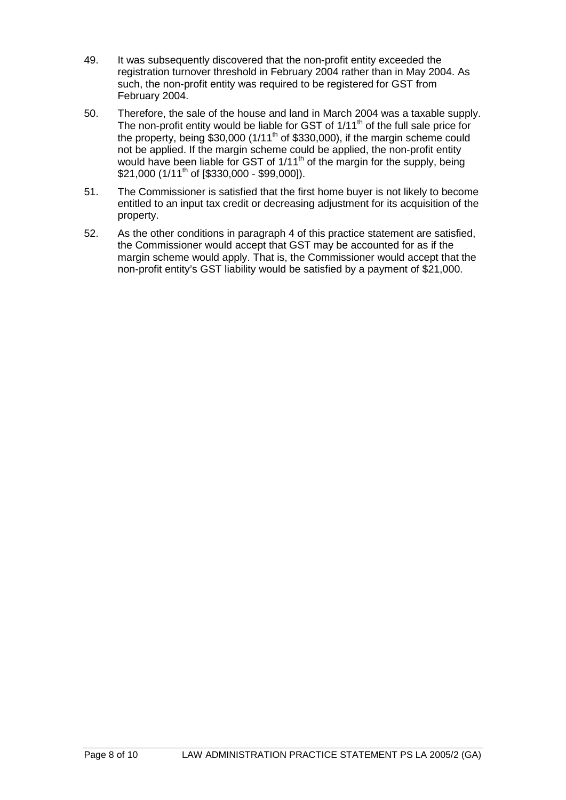- 49. It was subsequently discovered that the non-profit entity exceeded the registration turnover threshold in February 2004 rather than in May 2004. As such, the non-profit entity was required to be registered for GST from February 2004.
- 50. Therefore, the sale of the house and land in March 2004 was a taxable supply. The non-profit entity would be liable for GST of  $1/11<sup>th</sup>$  of the full sale price for the property, being \$30,000 (1/11<sup>th</sup> of \$330,000), if the margin scheme could not be applied. If the margin scheme could be applied, the non-profit entity would have been liable for GST of  $1/11<sup>th</sup>$  of the margin for the supply, being \$21,000 (1/11<sup>th</sup> of [\$330,000 - \$99,000]).
- 51. The Commissioner is satisfied that the first home buyer is not likely to become entitled to an input tax credit or decreasing adjustment for its acquisition of the property.
- 52. As the other conditions in paragraph 4 of this practice statement are satisfied, the Commissioner would accept that GST may be accounted for as if the margin scheme would apply. That is, the Commissioner would accept that the non-profit entity's GST liability would be satisfied by a payment of \$21,000.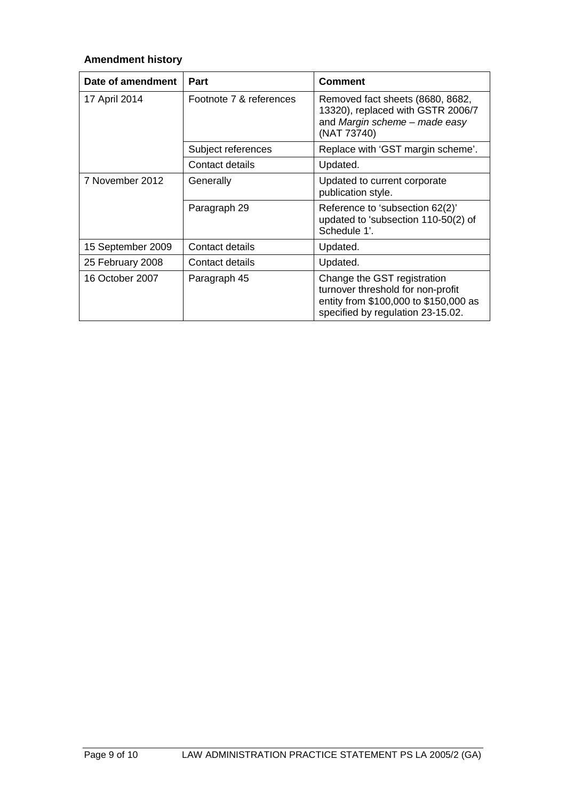### **Amendment history**

| Date of amendment | <b>Part</b>             | <b>Comment</b>                                                                                                                                 |
|-------------------|-------------------------|------------------------------------------------------------------------------------------------------------------------------------------------|
| 17 April 2014     | Footnote 7 & references | Removed fact sheets (8680, 8682,<br>13320), replaced with GSTR 2006/7<br>and Margin scheme - made easy<br>(NAT 73740)                          |
|                   | Subject references      | Replace with 'GST margin scheme'.                                                                                                              |
|                   | Contact details         | Updated.                                                                                                                                       |
| 7 November 2012   | Generally               | Updated to current corporate<br>publication style.                                                                                             |
|                   | Paragraph 29            | Reference to 'subsection 62(2)'<br>updated to 'subsection 110-50(2) of<br>Schedule 1'.                                                         |
| 15 September 2009 | Contact details         | Updated.                                                                                                                                       |
| 25 February 2008  | Contact details         | Updated.                                                                                                                                       |
| 16 October 2007   | Paragraph 45            | Change the GST registration<br>turnover threshold for non-profit<br>entity from \$100,000 to \$150,000 as<br>specified by regulation 23-15.02. |